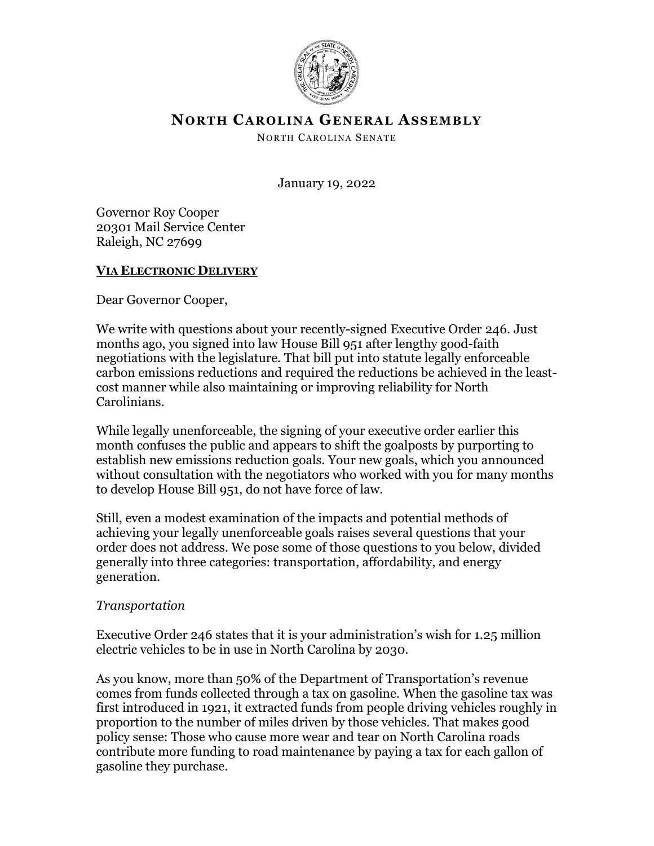

# **NORTH CAROLINA GENERAL ASSEMBLY**

NORTH CAROLINA SENATE

January 19, 2022

Governor Roy Cooper 20301 Mail Service Center Raleigh, NC 27699

### **VIA ELECTRONIC DELIVERY**

Dear Governor Cooper,

We write with questions about your recently-signed Executive Order 246. Just months ago, you signed into law House Bill 951 after lengthy good-faith negotiations with the legislature. That bill put into statute legally enforceable carbon emissions reductions and required the reductions be achieved in the leastcost manner while also maintaining or improving reliability for North Carolinians.

While legally unenforceable, the signing of your executive order earlier this month confuses the public and appears to shift the goalposts by purporting to establish new emissions reduction goals. Your new goals, which you announced without consultation with the negotiators who worked with you for many months to develop House Bill 951, do not have force of law.

Still, even a modest examination of the impacts and potential methods of achieving your legally unenforceable goals raises several questions that your order does not address. We pose some of those questions to you below, divided generally into three categories: transportation, affordability, and energy generation.

#### *Transportation*

Executive Order 246 states that it is your administration's wish for 1.25 million electric vehicles to be in use in North Carolina by 2030.

As you know, more than 50% of the Department of Transportation's revenue comes from funds collected through a tax on gasoline. When the gasoline tax was first introduced in 1921, it extracted funds from people driving vehicles roughly in proportion to the number of miles driven by those vehicles. That makes good policy sense: Those who cause more wear and tear on North Carolina roads contribute more funding to road maintenance by paying a tax for each gallon of gasoline they purchase.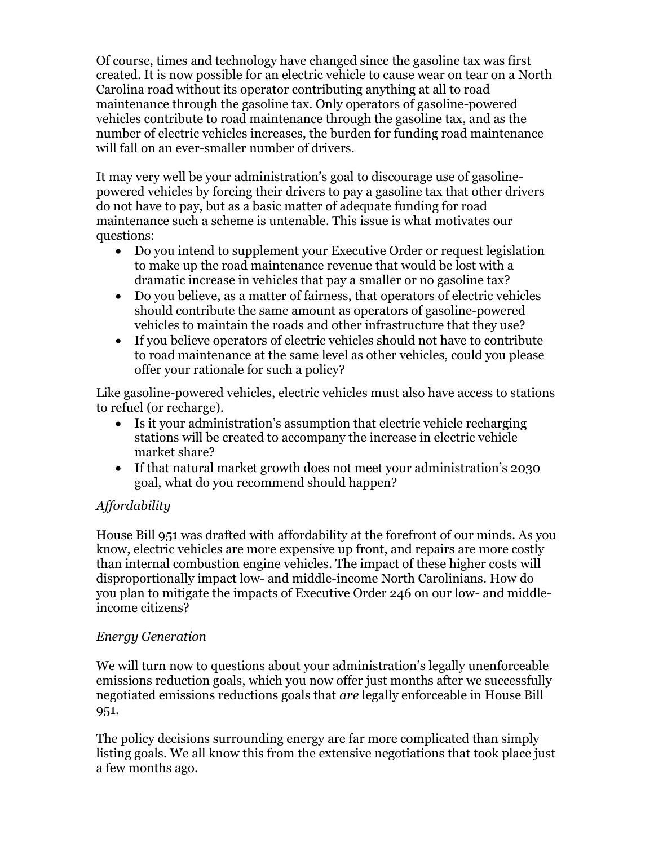Of course, times and technology have changed since the gasoline tax was first created. It is now possible for an electric vehicle to cause wear on tear on a North Carolina road without its operator contributing anything at all to road maintenance through the gasoline tax. Only operators of gasoline-powered vehicles contribute to road maintenance through the gasoline tax, and as the number of electric vehicles increases, the burden for funding road maintenance will fall on an ever-smaller number of drivers.

It may very well be your administration's goal to discourage use of gasolinepowered vehicles by forcing their drivers to pay a gasoline tax that other drivers do not have to pay, but as a basic matter of adequate funding for road maintenance such a scheme is untenable. This issue is what motivates our questions:

- Do you intend to supplement your Executive Order or request legislation to make up the road maintenance revenue that would be lost with a dramatic increase in vehicles that pay a smaller or no gasoline tax?
- Do you believe, as a matter of fairness, that operators of electric vehicles should contribute the same amount as operators of gasoline-powered vehicles to maintain the roads and other infrastructure that they use?
- If you believe operators of electric vehicles should not have to contribute to road maintenance at the same level as other vehicles, could you please offer your rationale for such a policy?

Like gasoline-powered vehicles, electric vehicles must also have access to stations to refuel (or recharge).

- Is it your administration's assumption that electric vehicle recharging stations will be created to accompany the increase in electric vehicle market share?
- If that natural market growth does not meet your administration's 2030 goal, what do you recommend should happen?

## *Affordability*

House Bill 951 was drafted with affordability at the forefront of our minds. As you know, electric vehicles are more expensive up front, and repairs are more costly than internal combustion engine vehicles. The impact of these higher costs will disproportionally impact low- and middle-income North Carolinians. How do you plan to mitigate the impacts of Executive Order 246 on our low- and middleincome citizens?

## *Energy Generation*

We will turn now to questions about your administration's legally unenforceable emissions reduction goals, which you now offer just months after we successfully negotiated emissions reductions goals that *are* legally enforceable in House Bill 951.

The policy decisions surrounding energy are far more complicated than simply listing goals. We all know this from the extensive negotiations that took place just a few months ago.